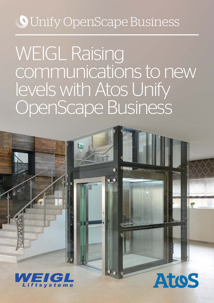## **O** Unify OpenScape Business

# WEIGL Raising communications to new levels with Atos Unify OpenScape Business

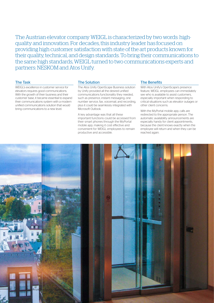The Austrian elevator company WEIGL is characterized by two words: highquality and innovation. For decades, this industry leader has focused on providing high customer satisfaction with state of the art products known for their quality, technical, and design standards. To bring their communications to the same high standards, WEIGL turned to two communications experts and partners: NESKOM and Atos Unify.

#### The Task

WEIGL's excellence in customer service for elevators requires good communications. With the growth of their business and their customer base, it became essential to expand their communications system with a modern unified communications solution that would bring communications to a new level.

#### The Solution

The Atos Unify OpenScape Business solution by Unify provided all the desired unified communications functionality they needed, such as presence, instant messaging, one number service, fax, voicemail, and recording, plus it could be seamlessly integrated with Microsoft Outlook.

A key advantage was that all these important functions could be accessed from their smart phones through the MyPortal mobile app, making it cost effective and convenient for WEIGL employees to remain productive and accessible.

#### The Benefits

With Atos Unify's OpenScape's presence feature, WEIGL employees can immediately see who is available to assist customers, especially important when responding to critical situations such as elevator outages or other client concerns.

With the MyPortal mobile app, calls are redirected to the appropriate person. The automatic availability announcements are especially handy for client appointments, because the client knows exactly when the employee will return and when they can be reached again.

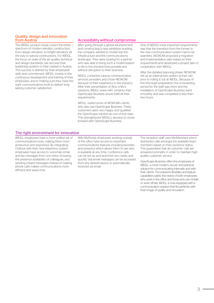#### Quality, design and innovation from Austria

The WEIGL product range covers the entire spectrum of modern elevator construction, from design elevators, to freight elevators, all the way to special constructions. For WEIGL, the focus on state of the art quality, technical and design standards, has secured their leadership position in their market in Austria. This success is defined by their employees' skills and commitment. WEIGL invests in the continuous development and training of their employees, and in making sure they have the right communications tools to deliver longlasting customer satisfaction.

#### Accessibility without compromise

After going through a global refurbishment and constructing a new exhibition building, the company wanted to modernize the infrastructure and the communications landscape. They were looking for a partner who was able to bring such a modernization to life in the shortest time possible and without disruption to their business.

WEIGL contacted various communication services providers and chose NESKOM because of their experience in the industry. After their presentation of Atos Unify's solutions, WEIGL knew with certainty that OpenScape Business would fulfill all their requirements.

WEIGL visited some of NESKOM's clients who also use OpenScape Business. These customers were very happy and qualified the OpenScape solution as one of first class. This strengthened WEIGL's decision to move forward with OpenScape Business.

One of WEIGl's most important requirements was that the transition from the former to the new communication system had to be seamless. NESKOM proposed a migration and implementation plan based on their requirements and developed a project plan in cooperation with WEIGL.

After the detailed planning phase, NESKOM set up an internal test system at their site, prior to rolling it out at WEIGL. Because of this thorough preparation, the on-boarding period for the staff was short and the installation of OpenScape Business went smoothly and was completed in less than two hours.

#### The right environment for innovation

WEIGL employees have a more unified set of communications tools, making them more productive and responsive. By integrating Outlook with their new telephony system, employees have access to voicemail, email and fax messages from one inbox. Knowing the presence availability of colleagues, and sending instant messages instead of making phone calls makes communications more efficient and saves time.

With MyPortal, employees working outside of the office have access to important communications features including favorites and presence which allows them to see who is available at any time. Conference calls can be set up and launched very easily and quickly. Voicemail messages can be accessed from any desired device or automatically received via email.

The reception staff uses MyAttendant which distributes calls amongst the available team members based on their presence status. This guarantees that all customer calls are answered promptly in order to maintain high quality customer service.

OpenScape Business offers the employees of WEIGL, a more modern, secure, and practical solution for communicating internally and with their clients. The solution's flexibility and feature capabilities satisfy the needs of both employees who work in the office and those who are mobile or work off-site. WEIGL is now equipped with a communication solution that fits perfectly with their image of quality and innovation.